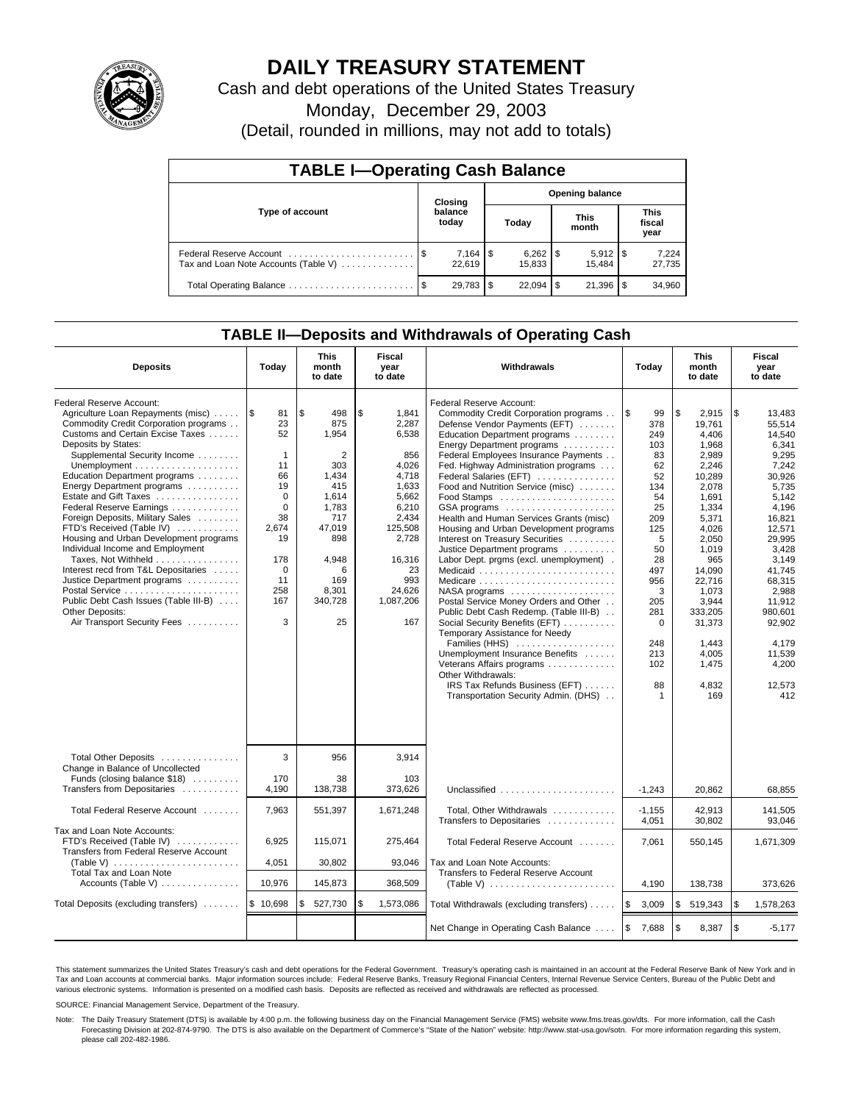

# **DAILY TREASURY STATEMENT**

Cash and debt operations of the United States Treasury

Monday, December 29, 2003

(Detail, rounded in millions, may not add to totals)

| <b>TABLE I-Operating Cash Balance</b>                           |                                   |                  |      |        |  |                       |                               |                 |  |
|-----------------------------------------------------------------|-----------------------------------|------------------|------|--------|--|-----------------------|-------------------------------|-----------------|--|
|                                                                 | <b>Opening balance</b><br>Closing |                  |      |        |  |                       |                               |                 |  |
| Type of account                                                 |                                   | balance<br>today |      | Today  |  | <b>This</b><br>month  | <b>This</b><br>fiscal<br>year |                 |  |
| Federal Reserve Account<br>Tax and Loan Note Accounts (Table V) |                                   | 22.619           |      | 15.833 |  | $5,912$ \\$<br>15.484 |                               | 7,224<br>27,735 |  |
| Total Operating Balance                                         | - \$                              | 29,783           | - \$ |        |  | 21,396                |                               | 34,960          |  |

## **TABLE II—Deposits and Withdrawals of Operating Cash**

| <b>Deposits</b>                                                                                                                                                                                                                                                                                                                                                                                                                                                                                                                                                                                                                                                     | Today                                                                                                                                           | <b>This</b><br>month<br>to date                                                                                                                | Fiscal<br>year<br>to date                                    | Withdrawals                                                                                                                                                                                                                                                                                                                                                                                                                                                                                                                                                                                                                                                                                                                                                                                                                                                                                                                                                                                                                                                                            | <b>This</b><br>Today<br>month<br>to date                                                                                                                                           |                                                                                                                                                                                                                                                 | Fiscal<br>year<br>to date                                                                                                                                                                                                                                 |  |
|---------------------------------------------------------------------------------------------------------------------------------------------------------------------------------------------------------------------------------------------------------------------------------------------------------------------------------------------------------------------------------------------------------------------------------------------------------------------------------------------------------------------------------------------------------------------------------------------------------------------------------------------------------------------|-------------------------------------------------------------------------------------------------------------------------------------------------|------------------------------------------------------------------------------------------------------------------------------------------------|--------------------------------------------------------------|----------------------------------------------------------------------------------------------------------------------------------------------------------------------------------------------------------------------------------------------------------------------------------------------------------------------------------------------------------------------------------------------------------------------------------------------------------------------------------------------------------------------------------------------------------------------------------------------------------------------------------------------------------------------------------------------------------------------------------------------------------------------------------------------------------------------------------------------------------------------------------------------------------------------------------------------------------------------------------------------------------------------------------------------------------------------------------------|------------------------------------------------------------------------------------------------------------------------------------------------------------------------------------|-------------------------------------------------------------------------------------------------------------------------------------------------------------------------------------------------------------------------------------------------|-----------------------------------------------------------------------------------------------------------------------------------------------------------------------------------------------------------------------------------------------------------|--|
| Federal Reserve Account:<br>Agriculture Loan Repayments (misc)    \$<br>Commodity Credit Corporation programs<br>Customs and Certain Excise Taxes<br>Deposits by States:<br>Supplemental Security Income<br>Education Department programs<br>Energy Department programs<br>Estate and Gift Taxes<br>Federal Reserve Earnings<br>Foreign Deposits, Military Sales<br>FTD's Received (Table IV)<br>Housing and Urban Development programs<br>Individual Income and Employment<br>Taxes, Not Withheld<br>Interest recd from T&L Depositaries<br>Justice Department programs<br>Public Debt Cash Issues (Table III-B)<br>Other Deposits:<br>Air Transport Security Fees | 81<br>23<br>52<br>$\mathbf{1}$<br>11<br>66<br>19<br>$\mathbf 0$<br>$\Omega$<br>38<br>2,674<br>19<br>178<br>$\mathbf 0$<br>11<br>258<br>167<br>3 | \$<br>498<br>875<br>1,954<br>2<br>303<br>1,434<br>415<br>1.614<br>1,783<br>717<br>47,019<br>898<br>4,948<br>6<br>169<br>8,301<br>340,728<br>25 | \$<br>125,508<br>2,728<br>16,316<br>24,626<br>1,087,206      | Federal Reserve Account:<br>1,841<br>Commodity Credit Corporation programs<br>2,287<br>Defense Vendor Payments (EFT)<br>6,538<br>Education Department programs<br>Energy Department programs<br>856<br>Federal Employees Insurance Payments<br>4.026<br>Fed. Highway Administration programs<br>4,718<br>Federal Salaries (EFT)<br>1,633<br>Food and Nutrition Service (misc)<br>5.662<br>Food Stamps<br>6,210<br>GSA programs<br>2,434<br>Health and Human Services Grants (misc)<br>Housing and Urban Development programs<br>Interest on Treasury Securities<br>Justice Department programs<br>Labor Dept. prgms (excl. unemployment).<br>23<br>Medicaid<br>993<br>Medicare<br>$NASA$ programs $\ldots \ldots \ldots \ldots \ldots$<br>Postal Service Money Orders and Other<br>Public Debt Cash Redemp. (Table III-B)<br>167<br>Social Security Benefits (EFT)<br>Temporary Assistance for Needy<br>Families (HHS)<br>Unemployment Insurance Benefits<br>Veterans Affairs programs<br>Other Withdrawals:<br>IRS Tax Refunds Business (EFT)<br>Transportation Security Admin. (DHS) | ۱\$<br>99<br>378<br>249<br>103<br>83<br>62<br>52<br>134<br>54<br>25<br>209<br>125<br>5<br>50<br>28<br>497<br>956<br>3<br>205<br>281<br>$\mathbf 0$<br>248<br>213<br>102<br>88<br>1 | \$<br>2,915<br>19.761<br>4.406<br>1,968<br>2,989<br>2,246<br>10,289<br>2,078<br>1.691<br>1,334<br>5,371<br>4.026<br>2,050<br>1,019<br>965<br>14,090<br>22,716<br>1,073<br>3.944<br>333,205<br>31,373<br>1.443<br>4,005<br>1,475<br>4,832<br>169 | \$<br>13,483<br>55.514<br>14.540<br>6,341<br>9.295<br>7,242<br>30,926<br>5,735<br>5.142<br>4.196<br>16,821<br>12.571<br>29.995<br>3,428<br>3,149<br>41.745<br>68.315<br>2,988<br>11.912<br>980,601<br>92,902<br>4.179<br>11,539<br>4,200<br>12,573<br>412 |  |
| Total Other Deposits<br>Change in Balance of Uncollected<br>Funds (closing balance \$18)<br>Transfers from Depositaries                                                                                                                                                                                                                                                                                                                                                                                                                                                                                                                                             | 3<br>170<br>4,190                                                                                                                               | 956<br>38<br>138,738                                                                                                                           | 373.626                                                      | 3,914<br>103<br>Unclassified                                                                                                                                                                                                                                                                                                                                                                                                                                                                                                                                                                                                                                                                                                                                                                                                                                                                                                                                                                                                                                                           | $-1.243$                                                                                                                                                                           | 20.862                                                                                                                                                                                                                                          | 68.855                                                                                                                                                                                                                                                    |  |
| Total Federal Reserve Account                                                                                                                                                                                                                                                                                                                                                                                                                                                                                                                                                                                                                                       | 7,963                                                                                                                                           | 551,397                                                                                                                                        | 1,671,248                                                    | Total, Other Withdrawals                                                                                                                                                                                                                                                                                                                                                                                                                                                                                                                                                                                                                                                                                                                                                                                                                                                                                                                                                                                                                                                               | $-1,155$                                                                                                                                                                           | 42,913                                                                                                                                                                                                                                          | 141,505<br>93.046                                                                                                                                                                                                                                         |  |
| Tax and Loan Note Accounts:<br>FTD's Received (Table IV)<br>Transfers from Federal Reserve Account<br>(Table V) $\ldots \ldots \ldots \ldots \ldots \ldots \ldots$<br><b>Total Tax and Loan Note</b>                                                                                                                                                                                                                                                                                                                                                                                                                                                                | 6,925<br>4,051                                                                                                                                  | 115,071<br>30,802                                                                                                                              | 275,464<br>93,046                                            | Transfers to Depositaries<br>Total Federal Reserve Account<br>Tax and Loan Note Accounts:<br>Transfers to Federal Reserve Account                                                                                                                                                                                                                                                                                                                                                                                                                                                                                                                                                                                                                                                                                                                                                                                                                                                                                                                                                      | 4,051<br>7,061                                                                                                                                                                     | 30,802<br>550,145                                                                                                                                                                                                                               | 1,671,309                                                                                                                                                                                                                                                 |  |
| Accounts (Table V)<br>10,976<br>145,873                                                                                                                                                                                                                                                                                                                                                                                                                                                                                                                                                                                                                             |                                                                                                                                                 | 368,509                                                                                                                                        | (Table V) $\ldots \ldots \ldots \ldots \ldots \ldots \ldots$ | 4,190                                                                                                                                                                                                                                                                                                                                                                                                                                                                                                                                                                                                                                                                                                                                                                                                                                                                                                                                                                                                                                                                                  | 138,738                                                                                                                                                                            | 373,626                                                                                                                                                                                                                                         |                                                                                                                                                                                                                                                           |  |
| Total Deposits (excluding transfers)                                                                                                                                                                                                                                                                                                                                                                                                                                                                                                                                                                                                                                | \$10,698                                                                                                                                        | \$<br>527,730                                                                                                                                  | \$<br>1,573,086                                              | Total Withdrawals (excluding transfers)                                                                                                                                                                                                                                                                                                                                                                                                                                                                                                                                                                                                                                                                                                                                                                                                                                                                                                                                                                                                                                                | ا\$<br>3,009                                                                                                                                                                       | \$<br>519,343                                                                                                                                                                                                                                   | \$<br>1,578,263                                                                                                                                                                                                                                           |  |
|                                                                                                                                                                                                                                                                                                                                                                                                                                                                                                                                                                                                                                                                     |                                                                                                                                                 |                                                                                                                                                |                                                              | Net Change in Operating Cash Balance                                                                                                                                                                                                                                                                                                                                                                                                                                                                                                                                                                                                                                                                                                                                                                                                                                                                                                                                                                                                                                                   | 1\$<br>7,688                                                                                                                                                                       | $\mathfrak{s}$<br>8,387                                                                                                                                                                                                                         | \$<br>$-5,177$                                                                                                                                                                                                                                            |  |

This statement summarizes the United States Treasury's cash and debt operations for the Federal Government. Treasury's operating cash is maintained in an account at the Federal Reserve Bank of New York and in Tax and Loan accounts at commercial banks. Major information sources include: Federal Reserve Banks, Treasury Regional Financial Centers, Internal Revenue Service Centers, Bureau of the Public Debt and<br>various electronic s

SOURCE: Financial Management Service, Department of the Treasury.

Note: The Daily Treasury Statement (DTS) is available by 4:00 p.m. the following business day on the Financial Management Service (FMS) website www.fms.treas.gov/dts. For more information, call the Cash Forecasting Division at 202-874-9790. The DTS is also available on the Department of Commerce's "State of the Nation" website: http://www.stat-usa.gov/sotn. For more information regarding this system, please call 202-482-1986.